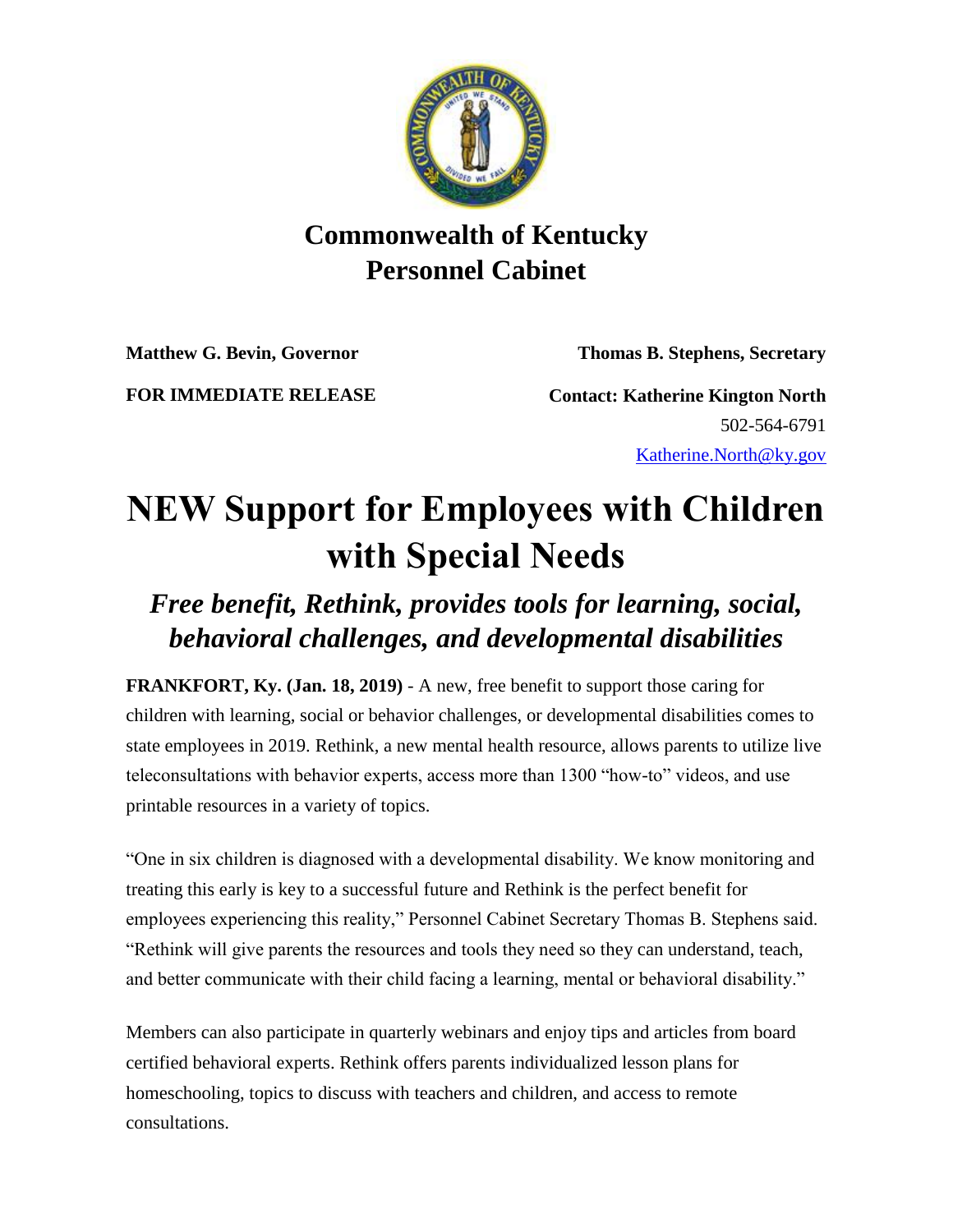

## **Commonwealth of Kentucky Personnel Cabinet**

**Matthew G. Bevin, Governor Thomas B. Stephens, Secretary**

**FOR IMMEDIATE RELEASE Contact: Katherine Kington North** 502-564-6791 [Katherine.North@ky.gov](mailto:katherine.north@ky.gov)

## **NEW Support for Employees with Children with Special Needs**

## *Free benefit, Rethink, provides tools for learning, social, behavioral challenges, and developmental disabilities*

**FRANKFORT, Ky. (Jan. 18, 2019)** - A new, free benefit to support those caring for children with learning, social or behavior challenges, or developmental disabilities comes to state employees in 2019. Rethink, a new mental health resource, allows parents to utilize live teleconsultations with behavior experts, access more than 1300 "how-to" videos, and use printable resources in a variety of topics.

"One in six children is diagnosed with a developmental disability. We know monitoring and treating this early is key to a successful future and Rethink is the perfect benefit for employees experiencing this reality," Personnel Cabinet Secretary Thomas B. Stephens said. "Rethink will give parents the resources and tools they need so they can understand, teach, and better communicate with their child facing a learning, mental or behavioral disability."

Members can also participate in quarterly webinars and enjoy tips and articles from board certified behavioral experts. Rethink offers parents individualized lesson plans for homeschooling, topics to discuss with teachers and children, and access to remote consultations.